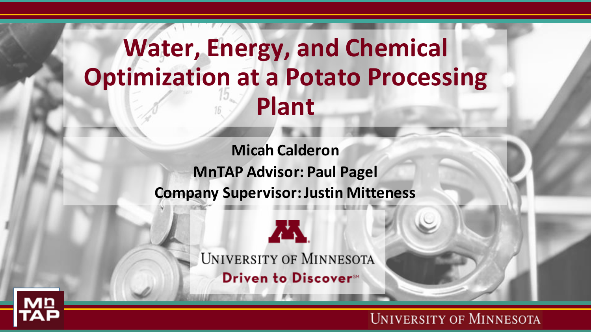## **Water, Energy, and Chemical Optimization at a Potato Processing Plant**

**Micah Calderon MnTAP Advisor: Paul Pagel Company Supervisor: Justin Mitteness**





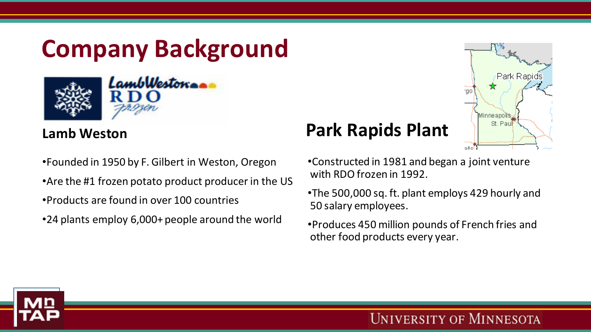## **Company Background**



#### **Lamb Weston**

•Founded in 1950 by F. Gilbert in Weston, Oregon •Are the #1 frozen potato product producer in the US •Products are found in over 100 countries

•24 plants employ 6,000+ people around the world

### **Park Rapids Plant**

Park Rapids rac Minneapolis St. Paul oller

•Constructed in 1981 and began a joint venture with RDO frozen in 1992.

•The 500,000 sq. ft. plant employs 429 hourly and 50 salary employees.

•Produces 450 million pounds of French fries and other food products every year.

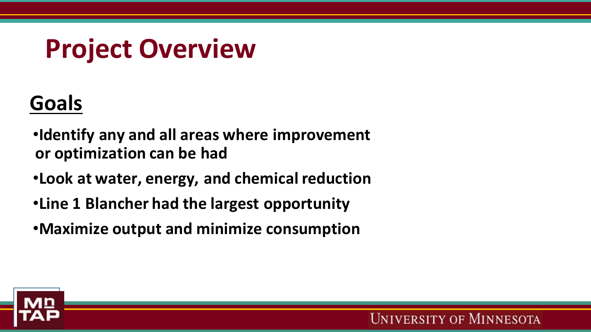# **Project Overview**

## **Goals**

•**Identify any and all areas where improvement or optimization can be had**

- •**Look at water, energy, and chemical reduction**
- •**Line 1 Blancher had the largest opportunity**
- •**Maximize output and minimize consumption**

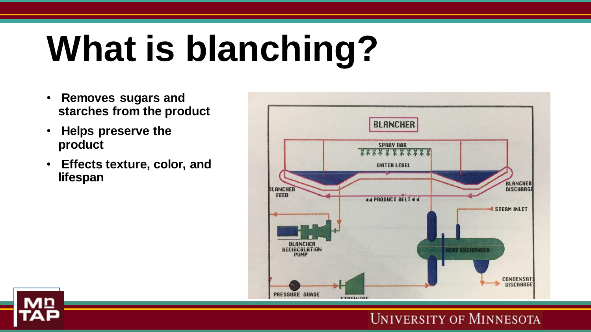# **What is blanching?**

- **Removes sugars and starches from the product**
- **Helps preserve the product**
- **Effects texture, color, and lifespan**



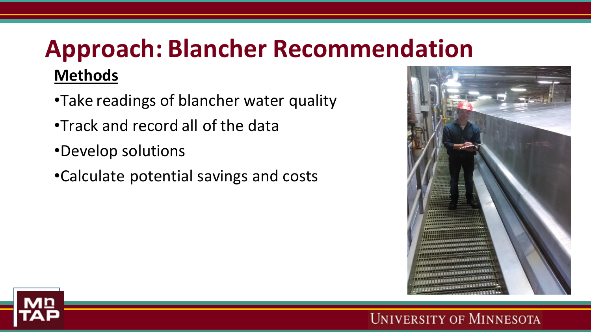## **Approach: Blancher Recommendation Methods**

- •Take readings of blancher water quality
- •Track and record all of the data
- •Develop solutions
- •Calculate potential savings and costs



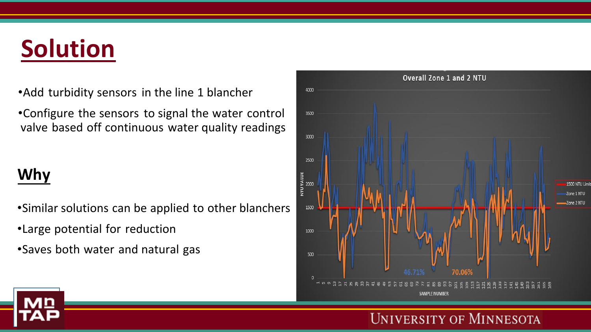## **Solution**

- •Add turbidity sensors in the line 1 blancher
- •Configure the sensors to signal the water control valve based off continuous water quality readings

#### **Why**

- •Similar solutions can be applied to other blanchers
- •Large potential for reduction
- •Saves both water and natural gas



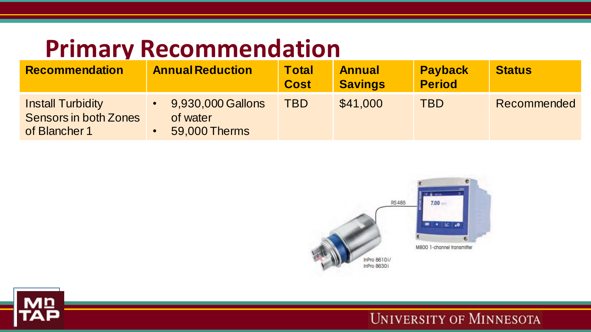## **Primary Recommendation**

| <b>Recommendation</b>                                                     | <b>Annual Reduction</b>                        | <b>Total</b><br><b>Cost</b> | <b>Annual</b><br><b>Savings</b> | <b>Payback</b><br><b>Period</b> | <b>Status</b> |
|---------------------------------------------------------------------------|------------------------------------------------|-----------------------------|---------------------------------|---------------------------------|---------------|
| <b>Install Turbidity</b><br><b>Sensors in both Zones</b><br>of Blancher 1 | 9,930,000 Gallons<br>of water<br>59,000 Therms | <b>TBD</b>                  | \$41,000                        | <b>TBD</b>                      | Recommended   |



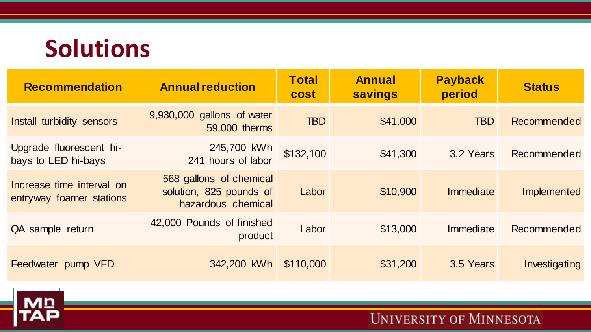## **Solutions**

| <b>Recommendation</b>                                 | <b>Annual reduction</b>                                                  | <b>Total</b><br><b>cost</b> | <b>Annual</b><br><b>savings</b> | <b>Payback</b><br>period | <b>Status</b> |
|-------------------------------------------------------|--------------------------------------------------------------------------|-----------------------------|---------------------------------|--------------------------|---------------|
| Install turbidity sensors                             | 9,930,000 gallons of water<br>59,000 therms                              | <b>TBD</b>                  | \$41,000                        | <b>TBD</b>               | Recommended   |
| Upgrade fluorescent hi-<br>bays to LED hi-bays        | 245,700 kWh<br>241 hours of labor                                        | \$132,100                   | \$41,300                        | 3.2 Years                | Recommended   |
| Increase time interval on<br>entryway foamer stations | 568 gallons of chemical<br>solution, 825 pounds of<br>hazardous chemical | Labor                       | \$10,900                        | Immediate                | Implemented   |
| QA sample return                                      | 42,000 Pounds of finished<br>product                                     | Labor                       | \$13,000                        | Immediate                | Recommended   |
| Feedwater pump VFD                                    | 342,200 kWh                                                              | \$110,000                   | \$31,200                        | 3.5 Years                | Investigating |